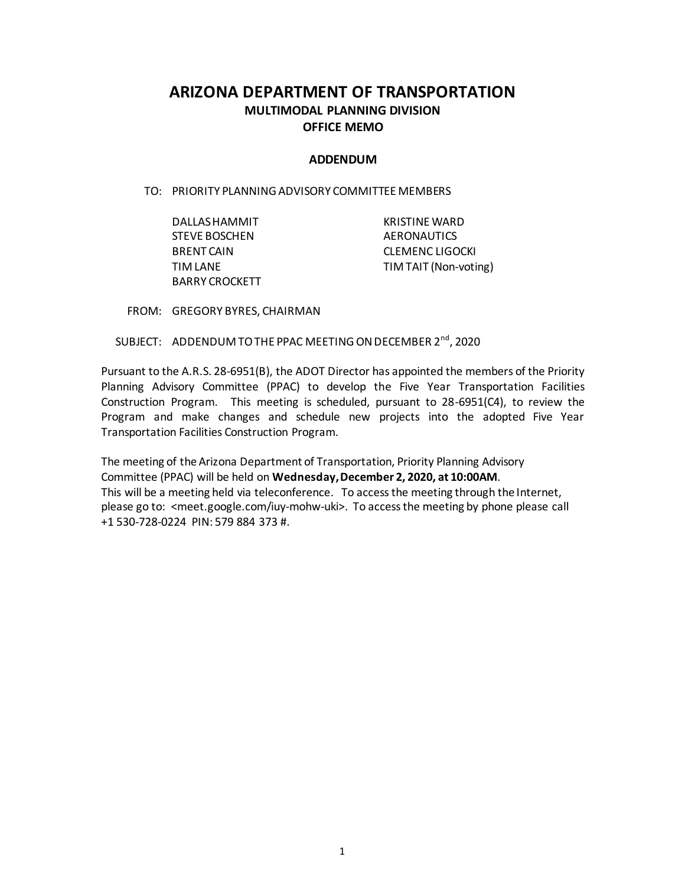# **ARIZONA DEPARTMENT OF TRANSPORTATION MULTIMODAL PLANNING DIVISION OFFICE MEMO**

### **ADDENDUM**

TO: PRIORITY PLANNING ADVISORY COMMITTEE MEMBERS

| DALLAS HAMMIT        | <b>KRISTINE WARD</b>  |
|----------------------|-----------------------|
| <b>STEVE BOSCHEN</b> | <b>AERONAUTICS</b>    |
| <b>BRENT CAIN</b>    | CLEMENC LIGOCKI       |
| TIM LANE             | TIM TAIT (Non-voting) |
| BARRY CROCKETT       |                       |

FROM: GREGORY BYRES, CHAIRMAN

SUBJECT: ADDENDUM TO THE PPAC MEETING ON DECEMBER 2<sup>nd</sup>, 2020

Pursuant to the A.R.S. 28-6951(B), the ADOT Director has appointed the members of the Priority Planning Advisory Committee (PPAC) to develop the Five Year Transportation Facilities Construction Program. This meeting is scheduled, pursuant to 28-6951(C4), to review the Program and make changes and schedule new projects into the adopted Five Year Transportation Facilities Construction Program.

The meeting of the Arizona Department of Transportation, Priority Planning Advisory Committee (PPAC) will be held on **Wednesday, December 2, 2020, at 10:00AM**. This will be a meeting held via teleconference. To access the meeting through the Internet, please go to: <meet.google.com/iuy-mohw-uki>. To access the meeting by phone please call +1 530-728-0224 PIN: 579 884 373 #.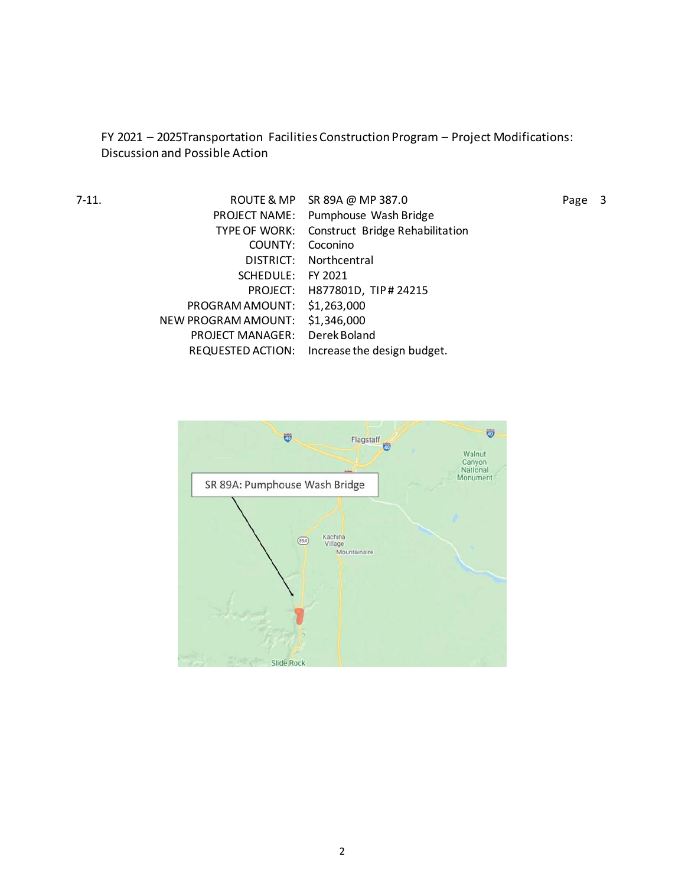FY 2021 – 2025Transportation Facilities Construction Program – Project Modifications: Discussion and Possible Action

| 7-11. |                                 | ROUTE & MP SR 89A @ MP 387.0                  | Page 3 |  |
|-------|---------------------------------|-----------------------------------------------|--------|--|
|       |                                 | PROJECT NAME: Pumphouse Wash Bridge           |        |  |
|       |                                 | TYPE OF WORK: Construct Bridge Rehabilitation |        |  |
|       | COUNTY:                         | Coconino                                      |        |  |
|       |                                 | DISTRICT: Northcentral                        |        |  |
|       | SCHEDULE:                       | FY 2021                                       |        |  |
|       |                                 | PROJECT: H877801D, TIP#24215                  |        |  |
|       | PROGRAM AMOUNT: \$1,263,000     |                                               |        |  |
|       | NEW PROGRAM AMOUNT: \$1,346,000 |                                               |        |  |
|       | PROJECT MANAGER: Derek Boland   |                                               |        |  |
|       |                                 | REQUESTED ACTION: Increase the design budget. |        |  |
|       |                                 |                                               |        |  |